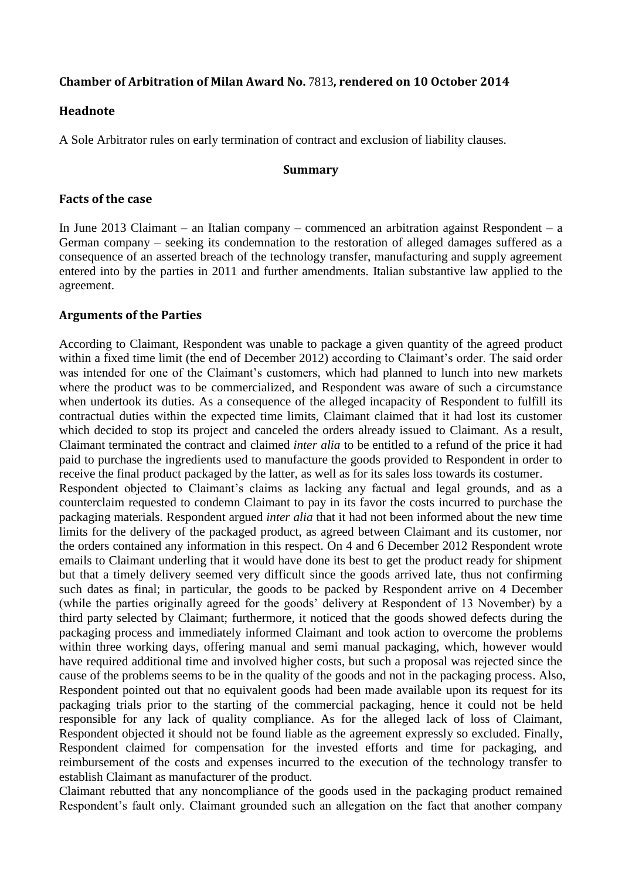## **Chamber of Arbitration of Milan Award No.** 7813**, rendered on 10 October 2014**

## **Headnote**

A Sole Arbitrator rules on early termination of contract and exclusion of liability clauses.

#### **Summary**

### **Facts of the case**

In June 2013 Claimant – an Italian company – commenced an arbitration against Respondent – a German company – seeking its condemnation to the restoration of alleged damages suffered as a consequence of an asserted breach of the technology transfer, manufacturing and supply agreement entered into by the parties in 2011 and further amendments. Italian substantive law applied to the agreement.

## **Arguments of the Parties**

According to Claimant, Respondent was unable to package a given quantity of the agreed product within a fixed time limit (the end of December 2012) according to Claimant's order. The said order was intended for one of the Claimant's customers, which had planned to lunch into new markets where the product was to be commercialized, and Respondent was aware of such a circumstance when undertook its duties. As a consequence of the alleged incapacity of Respondent to fulfill its contractual duties within the expected time limits, Claimant claimed that it had lost its customer which decided to stop its project and canceled the orders already issued to Claimant. As a result, Claimant terminated the contract and claimed *inter alia* to be entitled to a refund of the price it had paid to purchase the ingredients used to manufacture the goods provided to Respondent in order to receive the final product packaged by the latter, as well as for its sales loss towards its costumer.

Respondent objected to Claimant's claims as lacking any factual and legal grounds, and as a counterclaim requested to condemn Claimant to pay in its favor the costs incurred to purchase the packaging materials. Respondent argued *inter alia* that it had not been informed about the new time limits for the delivery of the packaged product, as agreed between Claimant and its customer, nor the orders contained any information in this respect. On 4 and 6 December 2012 Respondent wrote emails to Claimant underling that it would have done its best to get the product ready for shipment but that a timely delivery seemed very difficult since the goods arrived late, thus not confirming such dates as final; in particular, the goods to be packed by Respondent arrive on 4 December (while the parties originally agreed for the goods' delivery at Respondent of 13 November) by a third party selected by Claimant; furthermore, it noticed that the goods showed defects during the packaging process and immediately informed Claimant and took action to overcome the problems within three working days, offering manual and semi manual packaging, which, however would have required additional time and involved higher costs, but such a proposal was rejected since the cause of the problems seems to be in the quality of the goods and not in the packaging process. Also, Respondent pointed out that no equivalent goods had been made available upon its request for its packaging trials prior to the starting of the commercial packaging, hence it could not be held responsible for any lack of quality compliance. As for the alleged lack of loss of Claimant, Respondent objected it should not be found liable as the agreement expressly so excluded. Finally, Respondent claimed for compensation for the invested efforts and time for packaging, and reimbursement of the costs and expenses incurred to the execution of the technology transfer to establish Claimant as manufacturer of the product.

Claimant rebutted that any noncompliance of the goods used in the packaging product remained Respondent's fault only. Claimant grounded such an allegation on the fact that another company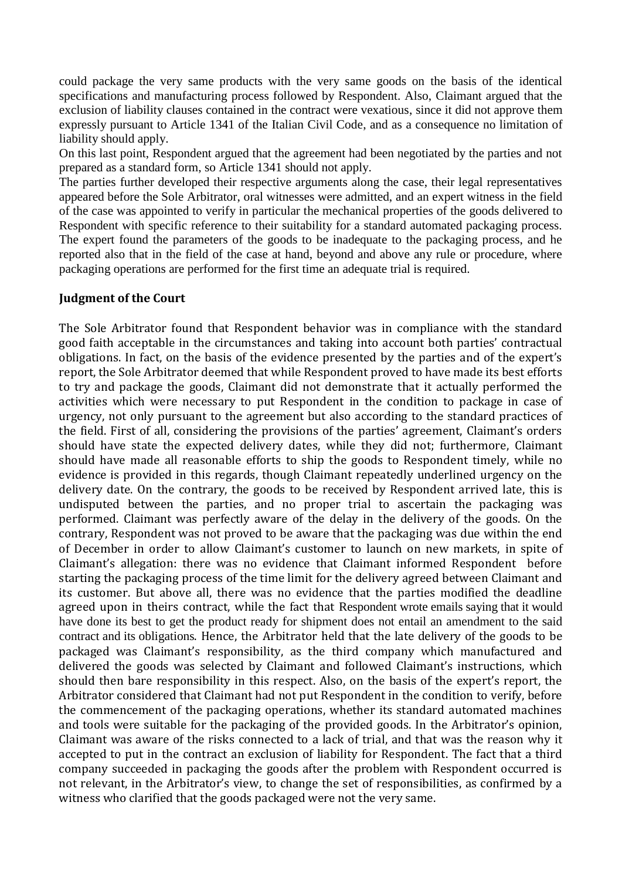could package the very same products with the very same goods on the basis of the identical specifications and manufacturing process followed by Respondent. Also, Claimant argued that the exclusion of liability clauses contained in the contract were vexatious, since it did not approve them expressly pursuant to Article 1341 of the Italian Civil Code, and as a consequence no limitation of liability should apply.

On this last point, Respondent argued that the agreement had been negotiated by the parties and not prepared as a standard form, so Article 1341 should not apply.

The parties further developed their respective arguments along the case, their legal representatives appeared before the Sole Arbitrator, oral witnesses were admitted, and an expert witness in the field of the case was appointed to verify in particular the mechanical properties of the goods delivered to Respondent with specific reference to their suitability for a standard automated packaging process. The expert found the parameters of the goods to be inadequate to the packaging process, and he reported also that in the field of the case at hand, beyond and above any rule or procedure, where packaging operations are performed for the first time an adequate trial is required.

# **Judgment of the Court**

The Sole Arbitrator found that Respondent behavior was in compliance with the standard good faith acceptable in the circumstances and taking into account both parties' contractual obligations. In fact, on the basis of the evidence presented by the parties and of the expert's report, the Sole Arbitrator deemed that while Respondent proved to have made its best efforts to try and package the goods, Claimant did not demonstrate that it actually performed the activities which were necessary to put Respondent in the condition to package in case of urgency, not only pursuant to the agreement but also according to the standard practices of the field. First of all, considering the provisions of the parties' agreement, Claimant's orders should have state the expected delivery dates, while they did not; furthermore, Claimant should have made all reasonable efforts to ship the goods to Respondent timely, while no evidence is provided in this regards, though Claimant repeatedly underlined urgency on the delivery date. On the contrary, the goods to be received by Respondent arrived late, this is undisputed between the parties, and no proper trial to ascertain the packaging was performed. Claimant was perfectly aware of the delay in the delivery of the goods. On the contrary, Respondent was not proved to be aware that the packaging was due within the end of December in order to allow Claimant's customer to launch on new markets, in spite of Claimant's allegation: there was no evidence that Claimant informed Respondent before starting the packaging process of the time limit for the delivery agreed between Claimant and its customer. But above all, there was no evidence that the parties modified the deadline agreed upon in theirs contract, while the fact that Respondent wrote emails saying that it would have done its best to get the product ready for shipment does not entail an amendment to the said contract and its obligations. Hence, the Arbitrator held that the late delivery of the goods to be packaged was Claimant's responsibility, as the third company which manufactured and delivered the goods was selected by Claimant and followed Claimant's instructions, which should then bare responsibility in this respect. Also, on the basis of the expert's report, the Arbitrator considered that Claimant had not put Respondent in the condition to verify, before the commencement of the packaging operations, whether its standard automated machines and tools were suitable for the packaging of the provided goods. In the Arbitrator's opinion, Claimant was aware of the risks connected to a lack of trial, and that was the reason why it accepted to put in the contract an exclusion of liability for Respondent. The fact that a third company succeeded in packaging the goods after the problem with Respondent occurred is not relevant, in the Arbitrator's view, to change the set of responsibilities, as confirmed by a witness who clarified that the goods packaged were not the very same.